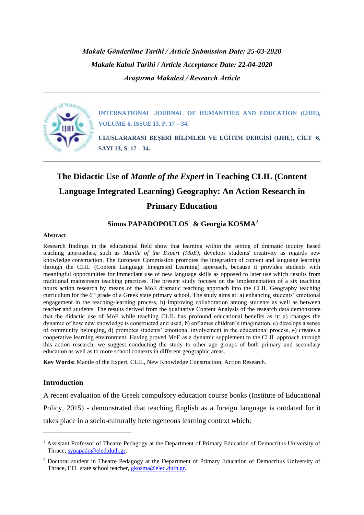*Makale Gönderilme Tarihi / Article Submission Date: 25-03-2020 Makale Kabul Tarihi / Article Acceptance Date: 22-04-2020 Araştırma Makalesi / Research Article*



**INTERNATIONAL JOURNAL OF HUMANITIES AND EDUCATION (IJHE), VOLUME 6, ISSUE 13, P. 17 – 34.**

**ULUSLARARASI BEŞERİ BİLİMLER VE EĞİTİM DERGİSİ (IJHE), CİLT 6, SAYI 13, S. 17 – 34.**

# **The Didactic Use of** *Mantle of the Expert* **in Teaching CLIL (Content Language Integrated Learning) Geography: An Action Research in Primary Education**

# **Simos PAPADOPOULOS**<sup>1</sup> **& Georgia KOSMA**<sup>2</sup>

### **Abstract**

Research findings in the educational field show that learning within the setting of dramatic inquiry based teaching approaches, such as *Mantle of the Expert (MoE)*, develops students' creativity as regards new knowledge construction. The European Commission promotes the integration of content and language learning through the CLIL (Content Language Integrated Learning) approach, because it provides students with meaningful opportunities for immediate use of new language skills as opposed to later use which results from traditional mainstream teaching practices. The present study focuses on the implementation of a six teaching hours action research by means of the MoE dramatic teaching approach into the CLIL Geography teaching curriculum for the 6<sup>th</sup> grade of a Greek state primary school. The study aims at: a) enhancing students' emotional engagement in the teaching-learning process, b) improving collaboration among students as well as between teacher and students. The results derived from the qualitative Content Analysis of the research data demonstrate that the didactic use of MoE while teaching CLIL has profound educational benefits as it: a) changes the dynamic of how new knowledge is constructed and used, b) enflames children's imagination, c) develops a sense of community belonging, d) promotes students' emotional involvement in the educational process, e) creates a cooperative learning environment. Having proved MoE as a dynamic supplement to the CLIL approach through this action research, we suggest conducting the study to other age groups of both primary and secondary education as well as to more school contexts in different geographic areas.

**Key Words:** Mantle of the Expert, CLIL, New Knowledge Construction, Action Research.

## **Introduction**

A recent evaluation of the Greek compulsory education course books (Institute of Educational Policy, 2015) - demonstrated that teaching English as a foreign language is outdated for it takes place in a socio-culturally heterogeneous learning context which:

<sup>&</sup>lt;sup>1</sup> Assistant Professor of Theatre Pedagogy at the Department of Primary Education of Democritus University of Thrace[, sypapado@eled.duth.gr.](mailto:sypapado@eled.duth.gr)

<sup>2</sup> Doctoral student in Theatre Pedagogy at the Department of Primary Education of Democritus University of Thrace, EFL state school teacher, [gkosma@eled.duth.gr.](mailto:gkosma@eled.duth.gr)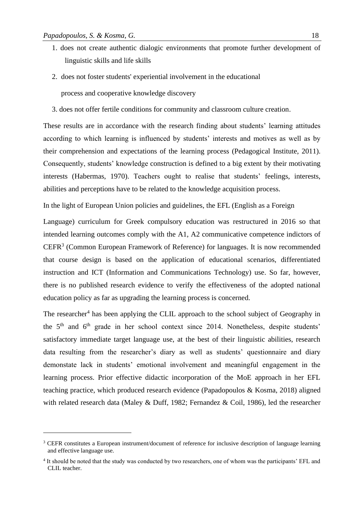- 1. does not create authentic dialogic environments that promote further development of linguistic skills and life skills
- 2. does not foster students' experiential involvement in the educational process and cooperative knowledge discovery
- 3. does not offer fertile conditions for community and classroom culture creation.

These results are in accordance with the research finding about students' learning attitudes according to which learning is influenced by students' interests and motives as well as by their comprehension and expectations of the learning process (Pedagogical Institute, 2011). Consequently, students' knowledge construction is defined to a big extent by their motivating interests (Habermas, 1970). Teachers ought to realise that students' feelings, interests, abilities and perceptions have to be related to the knowledge acquisition process.

In the light of European Union policies and guidelines, the EFL (English as a Foreign

Language) curriculum for Greek compulsory education was restructured in 2016 so that intended learning outcomes comply with the A1, A2 communicative competence indictors of  $CEFR<sup>3</sup>$  (Common European Framework of Reference) for languages. It is now recommended that course design is based on the application of educational scenarios, differentiated instruction and ICT (Information and Communications Technology) use. So far, however, there is no published research evidence to verify the effectiveness of the adopted national education policy as far as upgrading the learning process is concerned.

The researcher<sup>4</sup> has been applying the CLIL approach to the school subject of Geography in the  $5<sup>th</sup>$  and  $6<sup>th</sup>$  grade in her school context since 2014. Nonetheless, despite students' satisfactory immediate target language use, at the best of their linguistic abilities, research data resulting from the researcher's diary as well as students' questionnaire and diary demonstate lack in students' emotional involvement and meaningful engagement in the learning process. Prior effective didactic incorporation of the MoE approach in her EFL teaching practice, which produced research evidence (Papadopoulos & Kosma, 2018) aligned with related research data (Maley & Duff, 1982; Fernandez & Coil, 1986), led the researcher

<sup>&</sup>lt;sup>3</sup> CEFR constitutes a European instrument/document of reference for inclusive description of language learning and effective language use.

<sup>&</sup>lt;sup>4</sup> It should be noted that the study was conducted by two researchers, one of whom was the participants' EFL and CLIL teacher.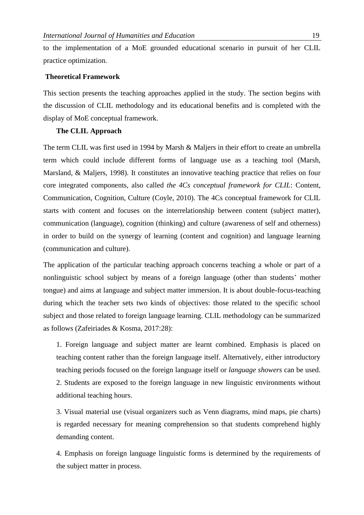to the implementation of a MoE grounded educational scenario in pursuit of her CLIL practice optimization*.*

# **Theoretical Framework**

This section presents the teaching approaches applied in the study. The section begins with the discussion of CLIL methodology and its educational benefits and is completed with the display of MoE conceptual framework.

# **The CLIL Approach**

The term CLIL was first used in 1994 by Marsh & Maljers in their effort to create an umbrella term which could include different forms of language use as a teaching tool (Marsh, Marsland, & Maljers, 1998). It constitutes an innovative teaching practice that relies on four core integrated components, also called *the 4Cs conceptual framework for CLIL*: Content, Communication, Cognition, Culture (Coyle, 2010). The 4Cs conceptual framework for CLIL starts with content and focuses on the interrelationship between content (subject matter), communication (language), cognition (thinking) and culture (awareness of self and otherness) in order to build on the synergy of learning (content and cognition) and language learning (communication and culture).

The application of the particular teaching approach concerns teaching a whole or part of a nonlinguistic school subject by means of a foreign language (other than students' mother tongue) and aims at language and subject matter immersion. It is about double-focus-teaching during which the teacher sets two kinds of objectives: those related to the specific school subject and those related to foreign language learning. CLIL methodology can be summarized as follows (Zafeiriades & Kosma, 2017:28):

1. Foreign language and subject matter are learnt combined. Emphasis is placed on teaching content rather than the foreign language itself. Alternatively, either introductory teaching periods focused on the foreign language itself or *language showers* can be used. 2. Students are exposed to the foreign language in new linguistic environments without additional teaching hours.

3. Visual material use (visual organizers such as Venn diagrams, mind maps, pie charts) is regarded necessary for meaning comprehension so that students comprehend highly demanding content.

4. Emphasis on foreign language linguistic forms is determined by the requirements of the subject matter in process.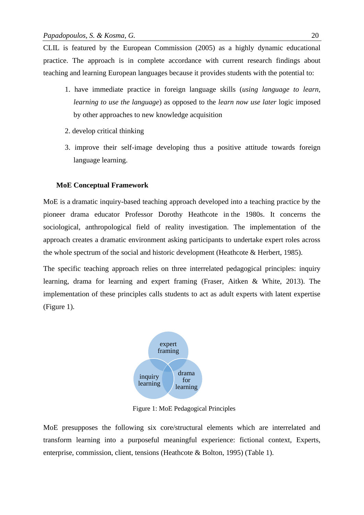CLIL is featured by the European Commission (2005) as a highly dynamic educational practice. The approach is in complete accordance with current research findings about teaching and learning European languages because it provides students with the potential to:

- 1. have immediate practice in foreign language skills (*using language to learn, learning to use the language*) as opposed to the *learn now use later* logic imposed by other approaches to new knowledge acquisition
- 2. develop critical thinking
- 3. improve their self-image developing thus a positive attitude towards foreign language learning.

## **MoE Conceptual Framework**

MoE is a dramatic inquiry-based teaching approach developed into a teaching practice by the pioneer drama educator Professor Dorothy Heathcote in the 1980s. It concerns the sociological, anthropological field of reality investigation. The implementation of the approach creates a dramatic environment asking participants to undertake expert roles across the whole spectrum of the social and historic development (Heathcote & Herbert, 1985).

The specific teaching approach relies on three interrelated pedagogical principles: inquiry learning, drama for learning and expert framing (Fraser, Aitken & White, 2013). The implementation of these principles calls students to act as adult experts with latent expertise (Figure 1).



Figure 1: MoE Pedagogical Principles

MoE presupposes the following six core/structural elements which are interrelated and transform learning into a purposeful meaningful experience: fictional context, Experts, enterprise, commission, client, tensions (Heathcote & Bolton, 1995) (Table 1).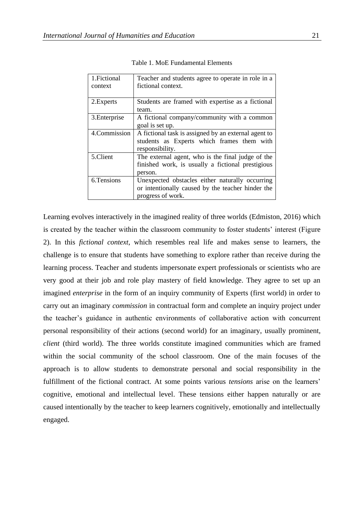| 1. Fictional  | Teacher and students agree to operate in role in a   |  |  |
|---------------|------------------------------------------------------|--|--|
| context       | fictional context.                                   |  |  |
|               |                                                      |  |  |
| 2. Experts    | Students are framed with expertise as a fictional    |  |  |
|               | team.                                                |  |  |
| 3. Enterprise | A fictional company/community with a common          |  |  |
|               | goal is set up.                                      |  |  |
| 4.Commission  | A fictional task is assigned by an external agent to |  |  |
|               | students as Experts which frames them with           |  |  |
|               | responsibility.                                      |  |  |
| 5.Client      | The external agent, who is the final judge of the    |  |  |
|               | finished work, is usually a fictional prestigious    |  |  |
|               | person.                                              |  |  |
| 6. Tensions   | Unexpected obstacles either naturally occurring      |  |  |
|               | or intentionally caused by the teacher hinder the    |  |  |
|               | progress of work.                                    |  |  |

Table 1. MoE Fundamental Elements

Learning evolves interactively in the imagined reality of three worlds (Edmiston, 2016) which is created by the teacher within the classroom community to foster students' interest (Figure 2). In this *fictional context*, which resembles real life and makes sense to learners, the challenge is to ensure that students have something to explore rather than receive during the learning process. Teacher and students impersonate expert professionals or scientists who are very good at their job and role play mastery of field knowledge. They agree to set up an imagined *enterprise* in the form of an inquiry community of Experts (first world) in order to carry out an imaginary *commission* in contractual form and complete an inquiry project under the teacher's guidance in authentic environments of collaborative action with concurrent personal responsibility of their actions (second world) for an imaginary, usually prominent, *client* (third world). The three worlds constitute imagined communities which are framed within the social community of the school classroom. One of the main focuses of the approach is to allow students to demonstrate personal and social responsibility in the fulfillment of the fictional contract. At some points various *tensions* arise on the learners' cognitive, emotional and intellectual level. These tensions either happen naturally or are caused intentionally by the teacher to keep learners cognitively, emotionally and intellectually engaged.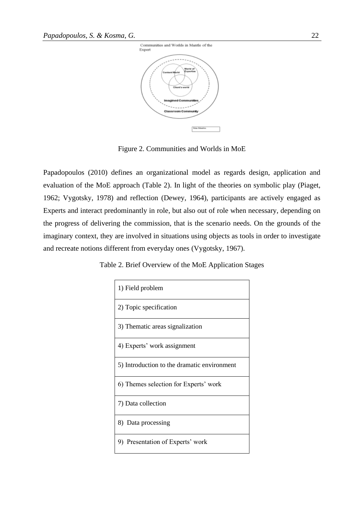

Figure 2. Communities and Worlds in MoE

Papadopoulos (2010) defines an organizational model as regards design, application and evaluation of the MoE approach (Table 2). In light of the theories on symbolic play (Piaget, 1962; Vygotsky, 1978) and reflection (Dewey, 1964), participants are actively engaged as Experts and interact predominantly in role, but also out of role when necessary, depending on the progress of delivering the commission, that is the scenario needs. On the grounds of the imaginary context, they are involved in situations using objects as tools in order to investigate and recreate notions different from everyday ones (Vygotsky, 1967).

Table 2. Brief Overview of the MoE Application Stages

| 1) Field problem                            |  |  |
|---------------------------------------------|--|--|
| 2) Topic specification                      |  |  |
| 3) Thematic areas signalization             |  |  |
| 4) Experts' work assignment                 |  |  |
| 5) Introduction to the dramatic environment |  |  |
| 6) Themes selection for Experts' work       |  |  |
| 7) Data collection                          |  |  |
| 8) Data processing                          |  |  |
| 9) Presentation of Experts' work            |  |  |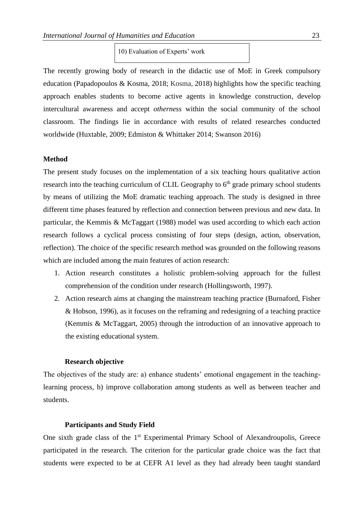10) Evaluation of Experts' work

The recently growing body of research in the didactic use of MoE in Greek compulsory education (Papadopoulos & Kosma, 2018; Kosma, 2018) highlights how the specific teaching approach enables students to become active agents in knowledge construction, develop intercultural awareness and accept *otherness* within the social community of the school classroom. The findings lie in accordance with results of related researches conducted worldwide (Huxtable, 2009; Edmiston & Whittaker 2014; Swanson 2016)

# **Method**

The present study focuses on the implementation of a six teaching hours qualitative action research into the teaching curriculum of CLIL Geography to  $6<sup>th</sup>$  grade primary school students by means of utilizing the MoE dramatic teaching approach. The study is designed in three different time phases featured by reflection and connection between previous and new data. In particular, the Kemmis & McTaggart (1988) model was used according to which each action research follows a cyclical process consisting of four steps (design, action, observation, reflection). The choice of the specific research method was grounded on the following reasons which are included among the main features of action research:

- 1. Action research constitutes a holistic problem-solving approach for the fullest comprehension of the condition under research (Hollingsworth, 1997).
- 2. Action research aims at changing the mainstream teaching practice (Burnaford, Fisher & Hobson, 1996), as it focuses on the reframing and redesigning of a teaching practice (Kemmis & McTaggart, 2005) through the introduction of an innovative approach to the existing educational system.

## **Research objective**

The objectives of the study are: a) enhance students' emotional engagement in the teachinglearning process, b) improve collaboration among students as well as between teacher and students.

# **Participants and Study Field**

One sixth grade class of the 1<sup>st</sup> Experimental Primary School of Alexandroupolis, Greece participated in the research. The criterion for the particular grade choice was the fact that students were expected to be at CEFR A1 level as they had already been taught standard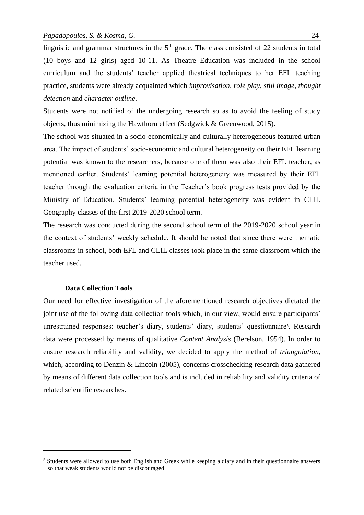linguistic and grammar structures in the  $5<sup>th</sup>$  grade. The class consisted of 22 students in total (10 boys and 12 girls) aged 10-11. As Theatre Education was included in the school curriculum and the students' teacher applied theatrical techniques to her EFL teaching practice, students were already acquainted which *improvisation*, *role play*, *still image*, *thought detection* and *character outline*.

Students were not notified of the undergoing research so as to avoid the feeling of study objects, thus minimizing the Hawthorn effect (Sedgwick & Greenwood, 2015).

The school was situated in a socio-economically and culturally heterogeneous featured urban area. The impact of students' socio-economic and cultural heterogeneity on their EFL learning potential was known to the researchers, because one of them was also their EFL teacher, as mentioned earlier. Students' learning potential heterogeneity was measured by their EFL teacher through the evaluation criteria in the Teacher's book progress tests provided by the Ministry of Education. Students' learning potential heterogeneity was evident in CLIL Geography classes of the first 2019-2020 school term.

The research was conducted during the second school term of the 2019-2020 school year in the context of students' weekly schedule. It should be noted that since there were thematic classrooms in school, both EFL and CLIL classes took place in the same classroom which the teacher used.

## **Data Collection Tools**

Our need for effective investigation of the aforementioned research objectives dictated the joint use of the following data collection tools which, in our view, would ensure participants' unrestrained responses: teacher's diary, students' diary, students' questionnaire<sup>5</sup>. Research data were processed by means of qualitative *Content Analysis* (Berelson, 1954). In order to ensure research reliability and validity, we decided to apply the method of *triangulation*, which, according to Denzin & Lincoln (2005), concerns crosschecking research data gathered by means of different data collection tools and is included in reliability and validity criteria of related scientific researches.

<sup>&</sup>lt;sup>5</sup> Students were allowed to use both English and Greek while keeping a diary and in their questionnaire answers so that weak students would not be discouraged.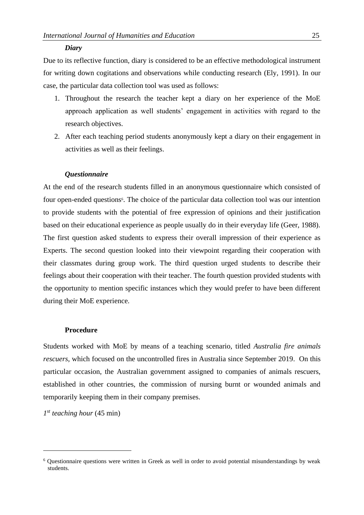#### *Diary*

Due to its reflective function, diary is considered to be an effective methodological instrument for writing down cogitations and observations while conducting research (Ely, 1991). In our case, the particular data collection tool was used as follows:

- 1. Throughout the research the teacher kept a diary on her experience of the MoE approach application as well students' engagement in activities with regard to the research objectives.
- 2. After each teaching period students anonymously kept a diary on their engagement in activities as well as their feelings.

## *Questionnaire*

At the end of the research students filled in an anonymous questionnaire which consisted of four open-ended questions<sup>6</sup>. The choice of the particular data collection tool was our intention to provide students with the potential of free expression of opinions and their justification based on their educational experience as people usually do in their everyday life (Geer, 1988). The first question asked students to express their overall impression of their experience as Experts. The second question looked into their viewpoint regarding their cooperation with their classmates during group work. The third question urged students to describe their feelings about their cooperation with their teacher. The fourth question provided students with the opportunity to mention specific instances which they would prefer to have been different during their MoE experience.

## **Procedure**

Students worked with MoE by means of a teaching scenario, titled *Australia fire animals rescuers*, which focused on the uncontrolled fires in Australia since September 2019. On this particular occasion, the Australian government assigned to companies of animals rescuers, established in other countries, the commission of nursing burnt or wounded animals and temporarily keeping them in their company premises.

*1 st teaching hour* (45 min)

<sup>6</sup> Questionnaire questions were written in Greek as well in order to avoid potential misunderstandings by weak students.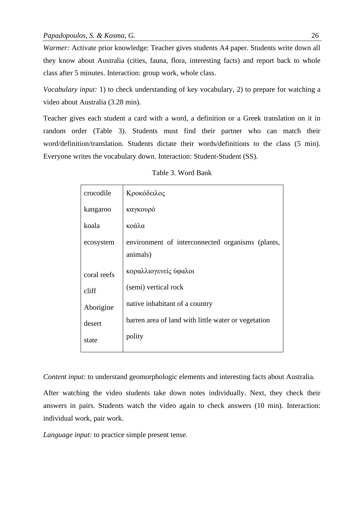*Warmer:* Activate prior knowledge: Teacher gives students A4 paper. Students write down all they know about Australia (cities, fauna, flora, interesting facts) and report back to whole class after 5 minutes. Interaction: group work, whole class.

*Vocabulary input:* 1) to check understanding of key vocabulary, 2) to prepare for watching a video about Australia (3.28 min).

Teacher gives each student a card with a word, a definition or a Greek translation on it in random order (Table 3). Students must find their partner who can match their word/definition/translation. Students dictate their words/definitions to the class (5 min). Everyone writes the vocabulary down. Interaction: Student-Student (SS).

| crocodile   | Κροκόδειλος                                         |
|-------------|-----------------------------------------------------|
| kangaroo    | καγκουρό                                            |
| koala       | κοάλα                                               |
| ecosystem   | environment of interconnected organisms (plants,    |
|             | animals)                                            |
| coral reefs | κοραλλιογενείς ύφαλοι                               |
| cliff       | (semi) vertical rock                                |
| Aborigine   | native inhabitant of a country                      |
| desert      | barren area of land with little water or vegetation |
| state       | polity                                              |
|             |                                                     |

| Table 3. Word Bank |  |  |
|--------------------|--|--|
|--------------------|--|--|

*Content input:* to understand geomorphologic elements and interesting facts about Australia.

After watching the video students take down notes individually. Next, they check their answers in pairs. Students watch the video again to check answers (10 min). Interaction: individual work, pair work.

*Language input:* to practice simple present tense.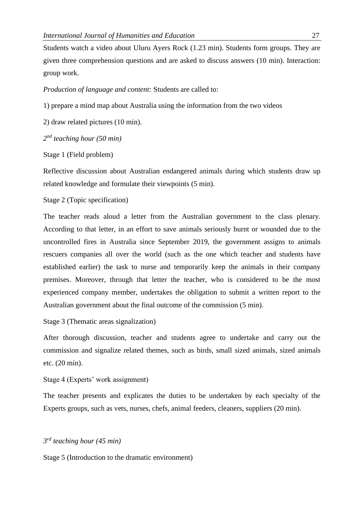Students watch a video about Uluru Ayers Rock (1.23 min). Students form groups. They are given three comprehension questions and are asked to discuss answers (10 min). Interaction: group work.

*Production of language and content:* Students are called to:

1) prepare a mind map about Australia using the information from the two videos

2) draw related pictures (10 min).

*2 nd teaching hour (50 min)* 

Stage 1 (Field problem)

Reflective discussion about Australian endangered animals during which students draw up related knowledge and formulate their viewpoints (5 min).

# Stage 2 (Topic specification)

The teacher reads aloud a letter from the Australian government to the class plenary. According to that letter, in an effort to save animals seriously burnt or wounded due to the uncontrolled fires in Australia since September 2019, the government assigns to animals rescuers companies all over the world (such as the one which teacher and students have established earlier) the task to nurse and temporarily keep the animals in their company premises. Moreover, through that letter the teacher, who is considered to be the most experienced company member, undertakes the obligation to submit a written report to the Australian government about the final outcome of the commission (5 min).

Stage 3 (Thematic areas signalization)

After thorough discussion, teacher and students agree to undertake and carry out the commission and signalize related themes, such as birds, small sized animals, sized animals etc. (20 min).

Stage 4 (Experts' work assignment)

The teacher presents and explicates the duties to be undertaken by each specialty of the Experts groups, such as vets, nurses, chefs, animal feeders, cleaners, suppliers (20 min).

# *3 rd teaching hour (45 min)*

Stage 5 (Introduction to the dramatic environment)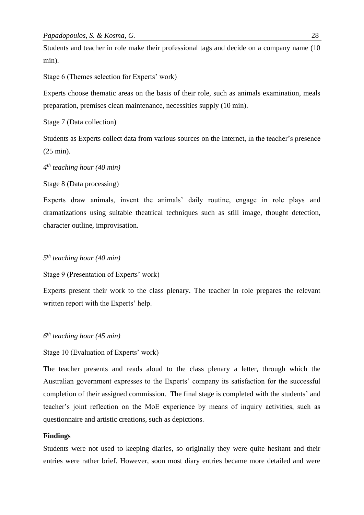Students and teacher in role make their professional tags and decide on a company name (10 min).

Stage 6 (Themes selection for Experts' work)

Experts choose thematic areas on the basis of their role, such as animals examination, meals preparation, premises clean maintenance, necessities supply (10 min).

Stage 7 (Data collection)

Students as Experts collect data from various sources on the Internet, in the teacher's presence (25 min).

```
4
th teaching hour (40 min)
```
Stage 8 (Data processing)

Experts draw animals, invent the animals' daily routine, engage in role plays and dramatizations using suitable theatrical techniques such as still image, thought detection, character outline, improvisation.

# *5 th teaching hour (40 min)*

Stage 9 (Presentation of Experts' work)

Experts present their work to the class plenary. The teacher in role prepares the relevant written report with the Experts' help.

*6 th teaching hour (45 min)* 

Stage 10 (Evaluation of Experts' work)

The teacher presents and reads aloud to the class plenary a letter, through which the Australian government expresses to the Experts' company its satisfaction for the successful completion of their assigned commission. The final stage is completed with the students' and teacher's joint reflection on the MoE experience by means of inquiry activities, such as questionnaire and artistic creations, such as depictions.

## **Findings**

Students were not used to keeping diaries, so originally they were quite hesitant and their entries were rather brief. However, soon most diary entries became more detailed and were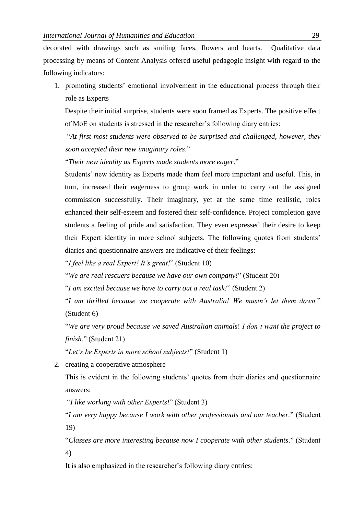decorated with drawings such as smiling faces, flowers and hearts. Qualitative data processing by means of Content Analysis offered useful pedagogic insight with regard to the following indicators:

1. promoting students' emotional involvement in the educational process through their role as Experts

Despite their initial surprise, students were soon framed as Experts. The positive effect of MoE on students is stressed in the researcher's following diary entries:

"*At first most students were observed to be surprised and challenged, however, they soon accepted their new imaginary roles*."

"*Their new identity as Experts made students more eager*."

Students' new identity as Experts made them feel more important and useful. This, in turn, increased their eagerness to group work in order to carry out the assigned commission successfully. Their imaginary, yet at the same time realistic, roles enhanced their self-esteem and fostered their self-confidence. Project completion gave students a feeling of pride and satisfaction. They even expressed their desire to keep their Expert identity in more school subjects. The following quotes from students' diaries and questionnaire answers are indicative of their feelings:

"*I feel like a real Expert! It's great!*" (Student 10)

"*We are real rescuers because we have our own company!*" (Student 20)

"*I am excited because we have to carry out a real task!*" (Student 2)

"*I am thrilled because we cooperate with Australia! We mustn't let them down.*" (Student 6)

"*We are very proud because we saved Australian animals*! *I don't want the project to finish.*" (Student 21)

"*Let's be Experts in more school subjects!*" (Student 1)

2. creating a cooperative atmosphere

This is evident in the following students' quotes from their diaries and questionnaire answers:

"*I like working with other Experts!*" (Student 3)

"*I am very happy because I work with other professionals and our teacher.*" (Student 19)

"*Classes are more interesting because now I cooperate with other students.*" (Student 4)

It is also emphasized in the researcher's following diary entries: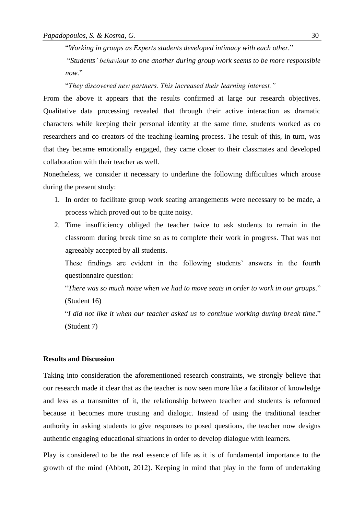"*Working in groups as Experts students developed intimacy with each other.*"

"*Students' behaviour to one another during group work seems to be more responsible now.*"

"*They discovered new partners. This increased their learning interest."*

From the above it appears that the results confirmed at large our research objectives. Qualitative data processing revealed that through their active interaction as dramatic characters while keeping their personal identity at the same time, students worked as co researchers and co creators of the teaching-learning process. The result of this, in turn, was that they became emotionally engaged, they came closer to their classmates and developed collaboration with their teacher as well.

Nonetheless, we consider it necessary to underline the following difficulties which arouse during the present study:

- 1. In order to facilitate group work seating arrangements were necessary to be made, a process which proved out to be quite noisy.
- 2. Time insufficiency obliged the teacher twice to ask students to remain in the classroom during break time so as to complete their work in progress. That was not agreeably accepted by all students.

These findings are evident in the following students' answers in the fourth questionnaire question:

"*There was so much noise when we had to move seats in order to work in our groups.*" (Student 16)

"*I did not like it when our teacher asked us to continue working during break time*." (Student 7)

# **Results and Discussion**

Taking into consideration the aforementioned research constraints, we strongly believe that our research made it clear that as the teacher is now seen more like a facilitator of knowledge and less as a transmitter of it, the relationship between teacher and students is reformed because it becomes more trusting and dialogic. Instead of using the traditional teacher authority in asking students to give responses to posed questions, the teacher now designs authentic engaging educational situations in order to develop dialogue with learners.

Play is considered to be the real essence of life as it is of fundamental importance to the growth of the mind (Abbott, 2012). Keeping in mind that play in the form of undertaking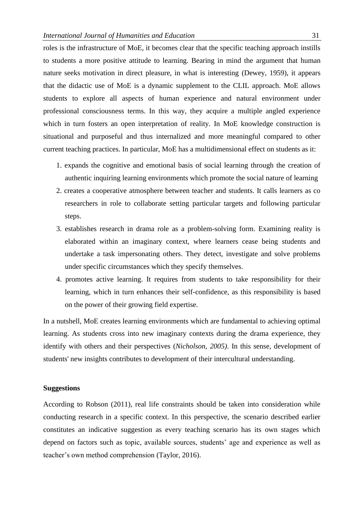roles is the infrastructure of MoE, it becomes clear that the specific teaching approach instills to students a more positive attitude to learning. Bearing in mind the argument that human nature seeks motivation in direct pleasure, in what is interesting (Dewey, 1959), it appears that the didactic use of MoE is a dynamic supplement to the CLIL approach. MoE allows students to explore all aspects of human experience and natural environment under professional consciousness terms. In this way, they acquire a multiple angled experience which in turn fosters an open interpretation of reality. In MoE knowledge construction is situational and purposeful and thus internalized and more meaningful compared to other current teaching practices. In particular, MoE has a multidimensional effect on students as it:

- 1. expands the cognitive and emotional basis of social learning through the creation of authentic inquiring learning environments which promote the social nature of learning
- 2. creates a cooperative atmosphere between teacher and students. It calls learners as co researchers in role to collaborate setting particular targets and following particular steps.
- 3. establishes research in drama role as a problem-solving form. Examining reality is elaborated within an imaginary context, where learners cease being students and undertake a task impersonating others. They detect, investigate and solve problems under specific circumstances which they specify themselves.
- 4. promotes active learning. It requires from students to take responsibility for their learning, which in turn enhances their self-confidence, as this responsibility is based on the power of their growing field expertise.

In a nutshell, MoE creates learning environments which are fundamental to achieving optimal learning. As students cross into new imaginary contexts during the drama experience, they identify with others and their perspectives (*Nicholson, 2005)*. In this sense, development of students' new insights contributes to development of their intercultural understanding.

## **Suggestions**

According to Robson (2011), real life constraints should be taken into consideration while conducting research in a specific context. In this perspective, the scenario described earlier constitutes an indicative suggestion as every teaching scenario has its own stages which depend on factors such as topic, available sources, students' age and experience as well as teacher's own method comprehension (Taylor, 2016).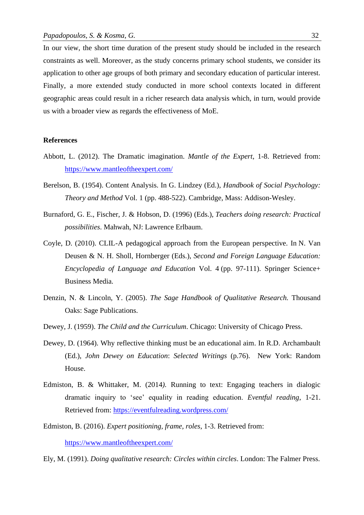In our view, the short time duration of the present study should be included in the research constraints as well. Moreover, as the study concerns primary school students, we consider its application to other age groups of both primary and secondary education of particular interest. Finally, a more extended study conducted in more school contexts located in different geographic areas could result in a richer research data analysis which, in turn, would provide us with a broader view as regards the effectiveness of MoE.

## **References**

- Abbott, L. (2012). The Dramatic imagination. *Mantle of the Expert*, 1-8. Retrieved from: <https://www.mantleoftheexpert.com/>
- Berelson, B. (1954). Content Analysis. In G. Lindzey (Ed.), *Handbook of Social Psychology: Theory and Method* Vol. 1 (pp. 488-522). Cambridge, Mass: Addison-Wesley.
- Burnaford, G. E., Fischer, J. & Hobson, D. (1996) (Eds.), *Teachers doing research: Practical possibilities*. Mahwah, NJ: Lawrence Erlbaum.
- Coyle, D. (2010). CLIL-A pedagogical approach from the European perspective. In N. Van Deusen & N. H. Sholl, Hornberger (Eds.), *Second and Foreign Language Education: Encyclopedia of Language and Education* Vol. 4 (pp. 97-111). Springer Science+ Business Media.
- Denzin, N. & Lincoln, Y. (2005). *The Sage Handbook of Qualitative Research.* Thousand Oaks: Sage Publications.
- Dewey, J. (1959). *The Child and the Curriculum*. Chicago: University of Chicago Press.
- Dewey, D. (1964). Why reflective thinking must be an educational aim. In R.D. Archambault (Ed.), *John Dewey on Education*: *Selected Writings* (p.76). New York: Random House.
- Edmiston, B. & Whittaker, M. (2014*).* Running to text: Engaging teachers in dialogic dramatic inquiry to 'see' equality in reading education. *Eventful reading*, 1-21. Retrieved from:<https://eventfulreading.wordpress.com/>
- Edmiston, B. (2016). *Expert positioning, frame, roles*, 1-3. Retrieved from:

<https://www.mantleoftheexpert.com/>

Ely, M. (1991). *Doing qualitative research: Circles within circles*. London: The Falmer Press.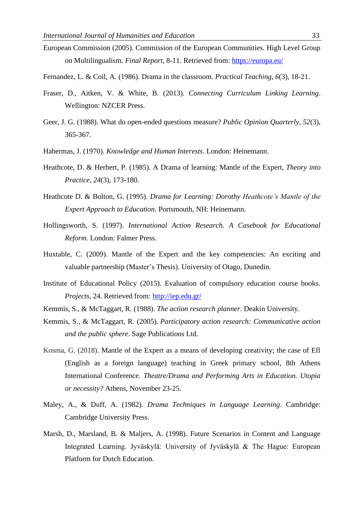- European Commission (2005). Commission of the European Communities. High Level Group on Multilingualism. *Final Report*, 8-11. Retrieved from:<https://europa.eu/>
- Fernandez, L. & Coil, A. (1986). Drama in the classroom. *Practical Teaching, 6*(3), 18-21.
- Fraser, D., Aitken, V. & White, B. (2013). *Connecting Curriculum Linking Learning*. Wellington: NZCER Press.
- Geer, J. G. (1988). What do open-ended questions measure? *Public Opinion Quarterly, 52*(3), 365-367.
- Habermas, J. (1970). *Knowledge and Human Interests*. London: Heinemann.
- Heathcote, D. & Herbert, P. (1985). A Drama of learning: Mantle of the Expert, *Theory into Practice*, *24*(3), 173-180.
- Heathcote D. & Bolton, G. (1995). *Drama for Learning: Dorothy Heathcote's Mantle of the Expert Approach to Education*. Portsmouth, NH: Heinemann.
- Hollingsworth, S. (1997). *International Action Research. A Casebook for Educational Reform.* London: Falmer Press.
- Huxtable, C. (2009). Mantle of the Expert and the key competencies: An exciting and valuable partnership (Master's Thesis). University of Otago, Dunedin.
- Institute of Educational Policy (2015). Evaluation of compulsory education course books. *Projects*, 24*.* Retrieved from:<http://iep.edu.gr/>
- Kemmis, S., & McTaggart, R. (1988). *The action research planner*. Deakin University.
- Kemmis, S., & McTaggart, R. (2005). *Participatory action research: Communicative action and the public sphere*. Sage Publications Ltd.
- Kosma, G. (2018). Mantle of the Expert as a means of developing creativity; the case of Efl (English as a foreign language) teaching in Greek primary school, 8th Athens International Conference. *Theatre/Drama and Performing Arts in Education. Utopia or necessity?* Athens, November 23-25.
- Maley, A., & Duff, A. (1982). *Drama Techniques in Language Learning*. Cambridge: Cambridge University Press.
- Marsh, D., Marsland, B. & Maljers, A. (1998). Future Scenarios in Content and Language Integrated Learning. Jyväskylä: University of Jyväskylä & The Hague: European Platform for Dutch Education.